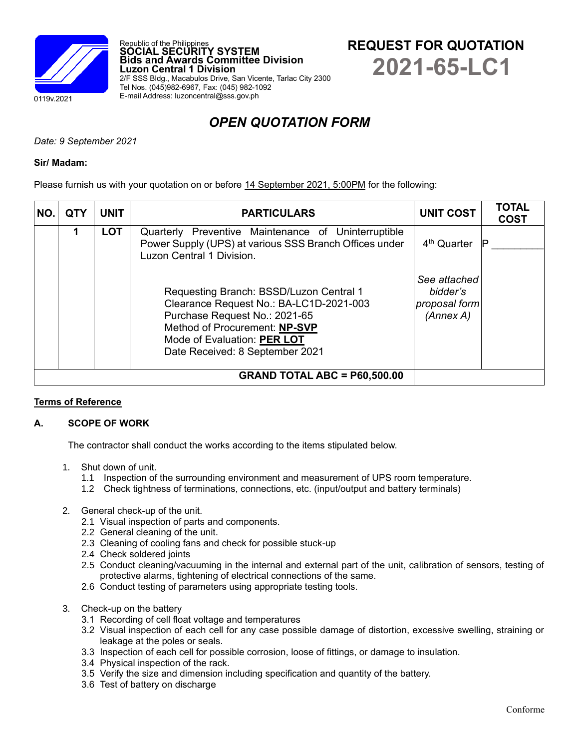

**REQUEST FOR QUOTATION 2021-65-LC1**

**Luzon Central 1 Division** 2/F SSS Bldg., Macabulos Drive, San Vicente, Tarlac City 2300 Tel Nos. (045)982-6967, Fax: (045) 982-1092 E-mail Address: luzoncentral@sss.gov.ph

**Bids and Awards Committee Division**

Republic of the Philippines **SOCIAL SECURITY SYSTEM**

# *OPEN QUOTATION FORM*

*Date: 9 September 2021*

### **Sir/ Madam:**

Please furnish us with your quotation on or before 14 September 2021, 5:00PM for the following:

| NO. | <b>QTY</b> | <b>UNIT</b> | <b>PARTICULARS</b>                                                                                                                                                                                                     | <b>UNIT COST</b>                                       | <b>TOTAL</b><br><b>COST</b> |
|-----|------------|-------------|------------------------------------------------------------------------------------------------------------------------------------------------------------------------------------------------------------------------|--------------------------------------------------------|-----------------------------|
|     |            | <b>LOT</b>  | Quarterly Preventive Maintenance of Uninterruptible<br>Power Supply (UPS) at various SSS Branch Offices under<br>Luzon Central 1 Division.                                                                             | 4 <sup>th</sup> Quarter                                | .IP                         |
|     |            |             | Requesting Branch: BSSD/Luzon Central 1<br>Clearance Request No.: BA-LC1D-2021-003<br>Purchase Request No.: 2021-65<br>Method of Procurement: NP-SVP<br>Mode of Evaluation: PER LOT<br>Date Received: 8 September 2021 | See attached<br>bidder's<br>proposal form<br>(Annex A) |                             |
|     |            |             |                                                                                                                                                                                                                        |                                                        |                             |

# **Terms of Reference**

# **A. SCOPE OF WORK**

The contractor shall conduct the works according to the items stipulated below.

- 1. Shut down of unit.
	- 1.1 Inspection of the surrounding environment and measurement of UPS room temperature.
	- 1.2 Check tightness of terminations, connections, etc. (input/output and battery terminals)
- 2. General check-up of the unit.
	- 2.1 Visual inspection of parts and components.
	- 2.2 General cleaning of the unit.
	- 2.3 Cleaning of cooling fans and check for possible stuck-up
	- 2.4 Check soldered joints
	- 2.5 Conduct cleaning/vacuuming in the internal and external part of the unit, calibration of sensors, testing of protective alarms, tightening of electrical connections of the same.
	- 2.6 Conduct testing of parameters using appropriate testing tools.
- 3. Check-up on the battery
	- 3.1 Recording of cell float voltage and temperatures
	- 3.2 Visual inspection of each cell for any case possible damage of distortion, excessive swelling, straining or leakage at the poles or seals.
	- 3.3 Inspection of each cell for possible corrosion, loose of fittings, or damage to insulation.
	- 3.4 Physical inspection of the rack.
	- 3.5 Verify the size and dimension including specification and quantity of the battery.
	- 3.6 Test of battery on discharge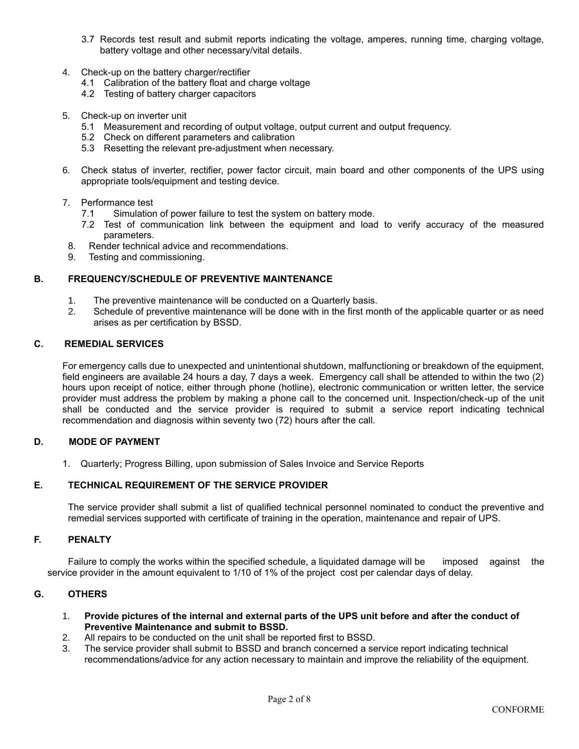- 3.7 Records test result and submit reports indicating the voltage, amperes, running time, charging voltage, battery voltage and other necessary/vital details.
- 4. Check-up on the battery charger/rectifier
	- 4.1 Calibration of the battery float and charge voltage
	- 4.2 Testing of battery charger capacitors
- 5. Check-up on inverter unit
	- 5.1 Measurement and recording of output voltage, output current and output frequency.
	- 5.2 Check on different parameters and calibration
	- 5.3 Resetting the relevant pre-adjustment when necessary.
- 6. Check status of inverter, rectifier, power factor circuit, main board and other components of the UPS using appropriate tools/equipment and testing device.
- 7. Performance test
	- 7.1 Simulation of power failure to test the system on battery mode.
	- 7.2 Test of communication link between the equipment and load to verify accuracy of the measured parameters.
- 8. Render technical advice and recommendations.
- 9. Testing and commissioning.

## **B. FREQUENCY/SCHEDULE OF PREVENTIVE MAINTENANCE**

- 1. The preventive maintenance will be conducted on a Quarterly basis.
- 2. Schedule of preventive maintenance will be done with in the first month of the applicable quarter or as need arises as per certification by BSSD.

# **C. REMEDIAL SERVICES**

For emergency calls due to unexpected and unintentional shutdown, malfunctioning or breakdown of the equipment, field engineers are available 24 hours a day, 7 days a week. Emergency call shall be attended to within the two (2) hours upon receipt of notice, either through phone (hotline), electronic communication or written letter, the service provider must address the problem by making a phone call to the concerned unit. Inspection/check-up of the unit shall be conducted and the service provider is required to submit a service report indicating technical recommendation and diagnosis within seventy two (72) hours after the call.

#### **D. MODE OF PAYMENT**

1. Quarterly; Progress Billing, upon submission of Sales Invoice and Service Reports

# **E. TECHNICAL REQUIREMENT OF THE SERVICE PROVIDER**

The service provider shall submit a list of qualified technical personnel nominated to conduct the preventive and remedial services supported with certificate of training in the operation, maintenance and repair of UPS.

#### **F. PENALTY**

Failure to comply the works within the specified schedule, a liquidated damage will be imposed against the service provider in the amount equivalent to 1/10 of 1% of the project cost per calendar days of delay.

#### **G. OTHERS**

- 1. **Provide pictures of the internal and external parts of the UPS unit before and after the conduct of Preventive Maintenance and submit to BSSD.**
- 2. All repairs to be conducted on the unit shall be reported first to BSSD.
- 3. The service provider shall submit to BSSD and branch concerned a service report indicating technical recommendations/advice for any action necessary to maintain and improve the reliability of the equipment.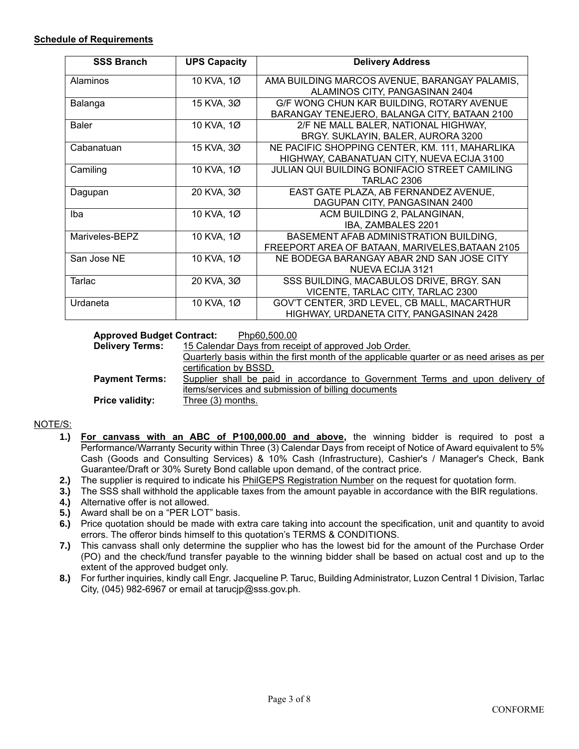| <b>SSS Branch</b> | <b>UPS Capacity</b> | <b>Delivery Address</b>                         |
|-------------------|---------------------|-------------------------------------------------|
| Alaminos          | 10 KVA, 1Ø          | AMA BUILDING MARCOS AVENUE, BARANGAY PALAMIS,   |
|                   |                     | ALAMINOS CITY, PANGASINAN 2404                  |
| Balanga           | 15 KVA, 3Ø          | G/F WONG CHUN KAR BUILDING, ROTARY AVENUE       |
|                   |                     | BARANGAY TENEJERO, BALANGA CITY, BATAAN 2100    |
| <b>Baler</b>      | 10 KVA, 1Ø          | 2/F NE MALL BALER, NATIONAL HIGHWAY,            |
|                   |                     | BRGY. SUKLAYIN, BALER, AURORA 3200              |
| Cabanatuan        | 15 KVA, 3Ø          | NE PACIFIC SHOPPING CENTER, KM. 111, MAHARLIKA  |
|                   |                     | HIGHWAY, CABANATUAN CITY, NUEVA ECIJA 3100      |
| Camiling          | 10 KVA, 1Ø          | JULIAN QUI BUILDING BONIFACIO STREET CAMILING   |
|                   |                     | TARLAC 2306                                     |
| Dagupan           | 20 KVA, 3Ø          | EAST GATE PLAZA, AB FERNANDEZ AVENUE,           |
|                   |                     | DAGUPAN CITY, PANGASINAN 2400                   |
| Iba               | 10 KVA, 1Ø          | ACM BUILDING 2, PALANGINAN,                     |
|                   |                     | IBA, ZAMBALES 2201                              |
| Mariveles-BEPZ    | 10 KVA, 1Ø          | BASEMENT AFAB ADMINISTRATION BUILDING,          |
|                   |                     | FREEPORT AREA OF BATAAN, MARIVELES, BATAAN 2105 |
| San Jose NE       | 10 KVA, 1Ø          | NE BODEGA BARANGAY ABAR 2ND SAN JOSE CITY       |
|                   |                     | NUEVA ECIJA 3121                                |
| Tarlac            | 20 KVA, 3Ø          | SSS BUILDING, MACABULOS DRIVE, BRGY. SAN        |
|                   |                     | VICENTE, TARLAC CITY, TARLAC 2300               |
| Urdaneta          | 10 KVA, 1Ø          | GOV'T CENTER, 3RD LEVEL, CB MALL, MACARTHUR     |
|                   |                     | HIGHWAY, URDANETA CITY, PANGASINAN 2428         |

## **Approved Budget Contract:** Php60,500.00 **Delivery Terms:** 15 Calendar Days from receipt of approved Job Order. Quarterly basis within the first month of the applicable quarter or as need arises as per certification by BSSD. **Payment Terms:** Supplier shall be paid in accordance to Government Terms and upon delivery of items/services and submission of billing documents **Price validity:** Three (3) months.

# NOTE/S:

- **1.) For canvass with an ABC of P100,000.00 and above,** the winning bidder is required to post a Performance/Warranty Security within Three (3) Calendar Days from receipt of Notice of Award equivalent to 5% Cash (Goods and Consulting Services) & 10% Cash (Infrastructure), Cashier's / Manager's Check, Bank Guarantee/Draft or 30% Surety Bond callable upon demand, of the contract price.
- **2.)** The supplier is required to indicate his PhilGEPS Registration Number on the request for quotation form.
- **3.)** The SSS shall withhold the applicable taxes from the amount payable in accordance with the BIR regulations.
- **4.)** Alternative offer is not allowed.
- **5.)** Award shall be on a "PER LOT" basis.
- **6.)** Price quotation should be made with extra care taking into account the specification, unit and quantity to avoid errors. The offeror binds himself to this quotation's TERMS & CONDITIONS.
- **7.)** This canvass shall only determine the supplier who has the lowest bid for the amount of the Purchase Order (PO) and the check/fund transfer payable to the winning bidder shall be based on actual cost and up to the extent of the approved budget only.
- **8.)** For further inquiries, kindly call Engr. Jacqueline P. Taruc, Building Administrator, Luzon Central 1 Division, Tarlac City, (045) 982-6967 or email at tarucjp@sss.gov.ph.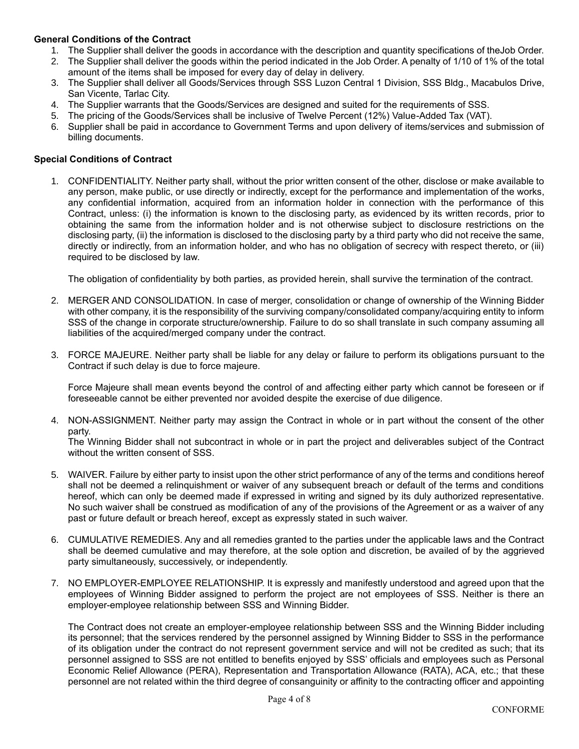# **General Conditions of the Contract**

- 1. The Supplier shall deliver the goods in accordance with the description and quantity specifications of theJob Order.
- 2. The Supplier shall deliver the goods within the period indicated in the Job Order. A penalty of 1/10 of 1% of the total amount of the items shall be imposed for every day of delay in delivery.
- 3. The Supplier shall deliver all Goods/Services through SSS Luzon Central 1 Division, SSS Bldg., Macabulos Drive, San Vicente, Tarlac City.
- 4. The Supplier warrants that the Goods/Services are designed and suited for the requirements of SSS.
- 5. The pricing of the Goods/Services shall be inclusive of Twelve Percent (12%) Value-Added Tax (VAT).
- 6. Supplier shall be paid in accordance to Government Terms and upon delivery of items/services and submission of billing documents.

### **Special Conditions of Contract**

1. CONFIDENTIALITY. Neither party shall, without the prior written consent of the other, disclose or make available to any person, make public, or use directly or indirectly, except for the performance and implementation of the works, any confidential information, acquired from an information holder in connection with the performance of this Contract, unless: (i) the information is known to the disclosing party, as evidenced by its written records, prior to obtaining the same from the information holder and is not otherwise subject to disclosure restrictions on the disclosing party, (ii) the information is disclosed to the disclosing party by a third party who did not receive the same, directly or indirectly, from an information holder, and who has no obligation of secrecy with respect thereto, or (iii) required to be disclosed by law.

The obligation of confidentiality by both parties, as provided herein, shall survive the termination of the contract.

- 2. MERGER AND CONSOLIDATION. In case of merger, consolidation or change of ownership of the Winning Bidder with other company, it is the responsibility of the surviving company/consolidated company/acquiring entity to inform SSS of the change in corporate structure/ownership. Failure to do so shall translate in such company assuming all liabilities of the acquired/merged company under the contract.
- 3. FORCE MAJEURE. Neither party shall be liable for any delay or failure to perform its obligations pursuant to the Contract if such delay is due to force majeure.

Force Majeure shall mean events beyond the control of and affecting either party which cannot be foreseen or if foreseeable cannot be either prevented nor avoided despite the exercise of due diligence.

4. NON-ASSIGNMENT. Neither party may assign the Contract in whole or in part without the consent of the other party.

The Winning Bidder shall not subcontract in whole or in part the project and deliverables subject of the Contract without the written consent of SSS.

- 5. WAIVER. Failure by either party to insist upon the other strict performance of any of the terms and conditions hereof shall not be deemed a relinquishment or waiver of any subsequent breach or default of the terms and conditions hereof, which can only be deemed made if expressed in writing and signed by its duly authorized representative. No such waiver shall be construed as modification of any of the provisions of the Agreement or as a waiver of any past or future default or breach hereof, except as expressly stated in such waiver.
- 6. CUMULATIVE REMEDIES. Any and all remedies granted to the parties under the applicable laws and the Contract shall be deemed cumulative and may therefore, at the sole option and discretion, be availed of by the aggrieved party simultaneously, successively, or independently.
- 7. NO EMPLOYER-EMPLOYEE RELATIONSHIP. It is expressly and manifestly understood and agreed upon that the employees of Winning Bidder assigned to perform the project are not employees of SSS. Neither is there an employer-employee relationship between SSS and Winning Bidder.

The Contract does not create an employer-employee relationship between SSS and the Winning Bidder including its personnel; that the services rendered by the personnel assigned by Winning Bidder to SSS in the performance of its obligation under the contract do not represent government service and will not be credited as such; that its personnel assigned to SSS are not entitled to benefits enjoyed by SSS' officials and employees such as Personal Economic Relief Allowance (PERA), Representation and Transportation Allowance (RATA), ACA, etc.; that these personnel are not related within the third degree of consanguinity or affinity to the contracting officer and appointing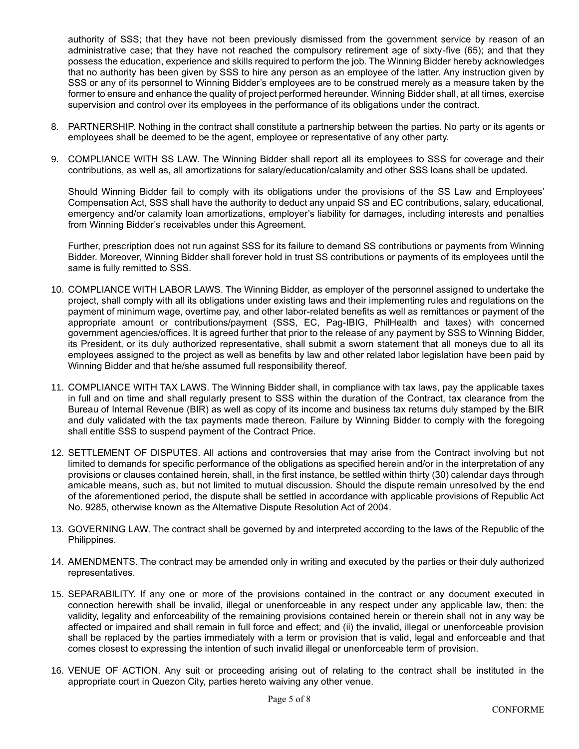authority of SSS; that they have not been previously dismissed from the government service by reason of an administrative case; that they have not reached the compulsory retirement age of sixty-five (65); and that they possess the education, experience and skills required to perform the job. The Winning Bidder hereby acknowledges that no authority has been given by SSS to hire any person as an employee of the latter. Any instruction given by SSS or any of its personnel to Winning Bidder's employees are to be construed merely as a measure taken by the former to ensure and enhance the quality of project performed hereunder. Winning Bidder shall, at all times, exercise supervision and control over its employees in the performance of its obligations under the contract.

- 8. PARTNERSHIP. Nothing in the contract shall constitute a partnership between the parties. No party or its agents or employees shall be deemed to be the agent, employee or representative of any other party.
- 9. COMPLIANCE WITH SS LAW. The Winning Bidder shall report all its employees to SSS for coverage and their contributions, as well as, all amortizations for salary/education/calamity and other SSS loans shall be updated.

Should Winning Bidder fail to comply with its obligations under the provisions of the SS Law and Employees' Compensation Act, SSS shall have the authority to deduct any unpaid SS and EC contributions, salary, educational, emergency and/or calamity loan amortizations, employer's liability for damages, including interests and penalties from Winning Bidder's receivables under this Agreement.

Further, prescription does not run against SSS for its failure to demand SS contributions or payments from Winning Bidder. Moreover, Winning Bidder shall forever hold in trust SS contributions or payments of its employees until the same is fully remitted to SSS.

- 10. COMPLIANCE WITH LABOR LAWS. The Winning Bidder, as employer of the personnel assigned to undertake the project, shall comply with all its obligations under existing laws and their implementing rules and regulations on the payment of minimum wage, overtime pay, and other labor-related benefits as well as remittances or payment of the appropriate amount or contributions/payment (SSS, EC, Pag-IBIG, PhilHealth and taxes) with concerned government agencies/offices. It is agreed further that prior to the release of any payment by SSS to Winning Bidder, its President, or its duly authorized representative, shall submit a sworn statement that all moneys due to all its employees assigned to the project as well as benefits by law and other related labor legislation have been paid by Winning Bidder and that he/she assumed full responsibility thereof.
- 11. COMPLIANCE WITH TAX LAWS. The Winning Bidder shall, in compliance with tax laws, pay the applicable taxes in full and on time and shall regularly present to SSS within the duration of the Contract, tax clearance from the Bureau of Internal Revenue (BIR) as well as copy of its income and business tax returns duly stamped by the BIR and duly validated with the tax payments made thereon. Failure by Winning Bidder to comply with the foregoing shall entitle SSS to suspend payment of the Contract Price.
- 12. SETTLEMENT OF DISPUTES. All actions and controversies that may arise from the Contract involving but not limited to demands for specific performance of the obligations as specified herein and/or in the interpretation of any provisions or clauses contained herein, shall, in the first instance, be settled within thirty (30) calendar days through amicable means, such as, but not limited to mutual discussion. Should the dispute remain unresolved by the end of the aforementioned period, the dispute shall be settled in accordance with applicable provisions of Republic Act No. 9285, otherwise known as the Alternative Dispute Resolution Act of 2004.
- 13. GOVERNING LAW. The contract shall be governed by and interpreted according to the laws of the Republic of the Philippines.
- 14. AMENDMENTS. The contract may be amended only in writing and executed by the parties or their duly authorized representatives.
- 15. SEPARABILITY. If any one or more of the provisions contained in the contract or any document executed in connection herewith shall be invalid, illegal or unenforceable in any respect under any applicable law, then: the validity, legality and enforceability of the remaining provisions contained herein or therein shall not in any way be affected or impaired and shall remain in full force and effect; and (ii) the invalid, illegal or unenforceable provision shall be replaced by the parties immediately with a term or provision that is valid, legal and enforceable and that comes closest to expressing the intention of such invalid illegal or unenforceable term of provision.
- 16. VENUE OF ACTION. Any suit or proceeding arising out of relating to the contract shall be instituted in the appropriate court in Quezon City, parties hereto waiving any other venue.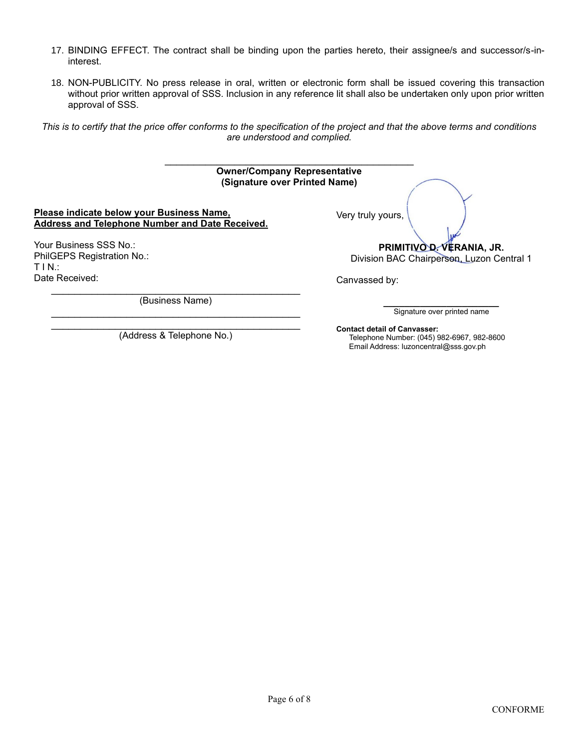- 17. BINDING EFFECT. The contract shall be binding upon the parties hereto, their assignee/s and successor/s-ininterest.
- 18. NON-PUBLICITY. No press release in oral, written or electronic form shall be issued covering this transaction without prior written approval of SSS. Inclusion in any reference lit shall also be undertaken only upon prior written approval of SSS.

*This is to certify that the price offer conforms to the specification of the project and that the above terms and conditions are understood and complied.*

| <b>Owner/Company Representative</b><br>(Signature over Printed Name)                         |                                                                        |
|----------------------------------------------------------------------------------------------|------------------------------------------------------------------------|
| Please indicate below your Business Name,<br>Address and Telephone Number and Date Received. | Very truly yours,                                                      |
| Your Business SSS No.:<br>PhilGEPS Registration No.:<br>TIN:                                 | PRIMITIVO D. VERANIA, JR.<br>Division BAC Chairperson, Luzon Central 1 |
| Date Received:                                                                               | Canvassed by:                                                          |
| (Business Name)                                                                              | Signature over printed name                                            |
|                                                                                              | Contact dotail of Canyaccory                                           |

(Address & Telephone No.)

**Contact detail of Canvasser:** Telephone Number: (045) 982-6967, 982-8600 Email Address: luzoncentral@sss.gov.ph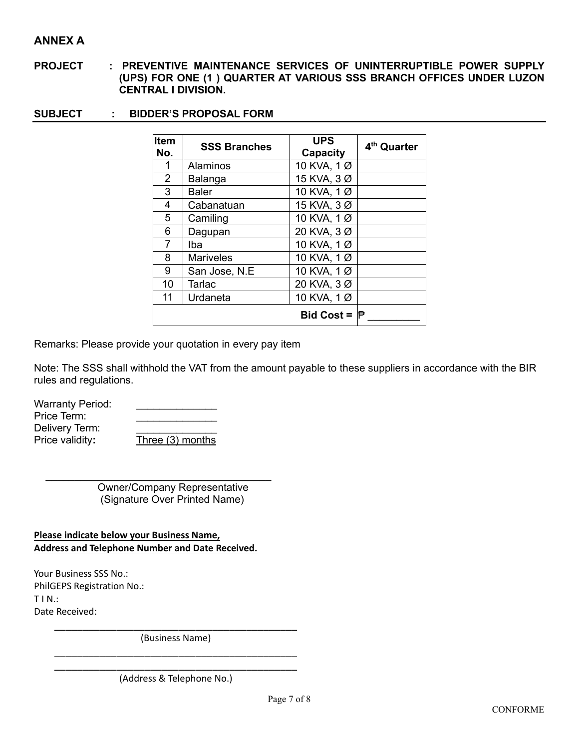# **ANNEX A**

- **PROJECT : PREVENTIVE MAINTENANCE SERVICES OF UNINTERRUPTIBLE POWER SUPPLY (UPS) FOR ONE (1 ) QUARTER AT VARIOUS SSS BRANCH OFFICES UNDER LUZON CENTRAL I DIVISION.**
- **SUBJECT : BIDDER'S PROPOSAL FORM**

| Item<br>No.    | <b>SSS Branches</b> | <b>UPS</b><br><b>Capacity</b> | 4 <sup>th</sup> Quarter |
|----------------|---------------------|-------------------------------|-------------------------|
| 1              | Alaminos            | 10 KVA, 1 Ø                   |                         |
| $\overline{2}$ | Balanga             | 15 KVA, 3 Ø                   |                         |
| 3              | <b>Baler</b>        | 10 KVA, 1 Ø                   |                         |
| 4              | Cabanatuan          | 15 KVA, 3 Ø                   |                         |
| 5              | Camiling            | 10 KVA, 1 Ø                   |                         |
| 6              | Dagupan             | 20 KVA, 3 Ø                   |                         |
| $\overline{7}$ | Iba                 | 10 KVA, 1 Ø                   |                         |
| 8              | <b>Mariveles</b>    | 10 KVA, 1 Ø                   |                         |
| 9              | San Jose, N.E.      | 10 KVA, 1 Ø                   |                         |
| 10             | Tarlac              | 20 KVA, 3 Ø                   |                         |
| 11             | Urdaneta            | 10 KVA, 1 Ø                   |                         |
|                |                     | Bid Cost = $\mathbb P$        |                         |

Remarks: Please provide your quotation in every pay item

Note: The SSS shall withhold the VAT from the amount payable to these suppliers in accordance with the BIR rules and regulations.

Warranty Period: Price Term: Delivery Term: Price validity**:** Three (3) months

> Owner/Company Representative (Signature Over Printed Name)

**Please indicate below your Business Name, Address and Telephone Number and Date Received.**

 $\mathcal{L}_\text{max}$  , and the set of the set of the set of the set of the set of the set of the set of the set of the set of the set of the set of the set of the set of the set of the set of the set of the set of the set of the

Your Business SSS No.: PhilGEPS Registration No.:  $T IN.$ : Date Received:

> \_\_\_\_\_\_\_\_\_\_\_\_\_\_\_\_\_\_\_\_\_\_\_\_\_\_\_\_\_\_\_\_\_\_\_\_\_\_\_\_\_\_\_ (Business Name) \_\_\_\_\_\_\_\_\_\_\_\_\_\_\_\_\_\_\_\_\_\_\_\_\_\_\_\_\_\_\_\_\_\_\_\_\_\_\_\_\_\_\_

> \_\_\_\_\_\_\_\_\_\_\_\_\_\_\_\_\_\_\_\_\_\_\_\_\_\_\_\_\_\_\_\_\_\_\_\_\_\_\_\_\_\_\_ (Address & Telephone No.)